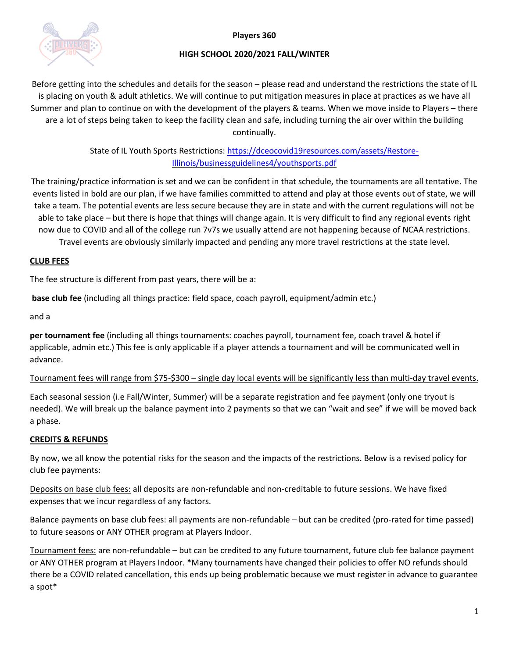

### **Players 360**

# **HIGH SCHOOL 2020/2021 FALL/WINTER**

Before getting into the schedules and details for the season – please read and understand the restrictions the state of IL is placing on youth & adult athletics. We will continue to put mitigation measures in place at practices as we have all Summer and plan to continue on with the development of the players & teams. When we move inside to Players – there are a lot of steps being taken to keep the facility clean and safe, including turning the air over within the building continually.

> State of IL Youth Sports Restrictions: [https://dceocovid19resources.com/assets/Restore-](https://dceocovid19resources.com/assets/Restore-Illinois/businessguidelines4/youthsports.pdf)[Illinois/businessguidelines4/youthsports.pdf](https://dceocovid19resources.com/assets/Restore-Illinois/businessguidelines4/youthsports.pdf)

The training/practice information is set and we can be confident in that schedule, the tournaments are all tentative. The events listed in bold are our plan, if we have families committed to attend and play at those events out of state, we will take a team. The potential events are less secure because they are in state and with the current regulations will not be able to take place – but there is hope that things will change again. It is very difficult to find any regional events right now due to COVID and all of the college run 7v7s we usually attend are not happening because of NCAA restrictions. Travel events are obviously similarly impacted and pending any more travel restrictions at the state level.

# **CLUB FEES**

The fee structure is different from past years, there will be a:

**base club fee** (including all things practice: field space, coach payroll, equipment/admin etc.)

and a

**per tournament fee** (including all things tournaments: coaches payroll, tournament fee, coach travel & hotel if applicable, admin etc.) This fee is only applicable if a player attends a tournament and will be communicated well in advance.

# Tournament fees will range from \$75-\$300 – single day local events will be significantly less than multi-day travel events.

Each seasonal session (i.e Fall/Winter, Summer) will be a separate registration and fee payment (only one tryout is needed). We will break up the balance payment into 2 payments so that we can "wait and see" if we will be moved back a phase.

# **CREDITS & REFUNDS**

By now, we all know the potential risks for the season and the impacts of the restrictions. Below is a revised policy for club fee payments:

Deposits on base club fees: all deposits are non-refundable and non-creditable to future sessions. We have fixed expenses that we incur regardless of any factors.

Balance payments on base club fees: all payments are non-refundable – but can be credited (pro-rated for time passed) to future seasons or ANY OTHER program at Players Indoor.

Tournament fees: are non-refundable – but can be credited to any future tournament, future club fee balance payment or ANY OTHER program at Players Indoor. \*Many tournaments have changed their policies to offer NO refunds should there be a COVID related cancellation, this ends up being problematic because we must register in advance to guarantee a spot\*